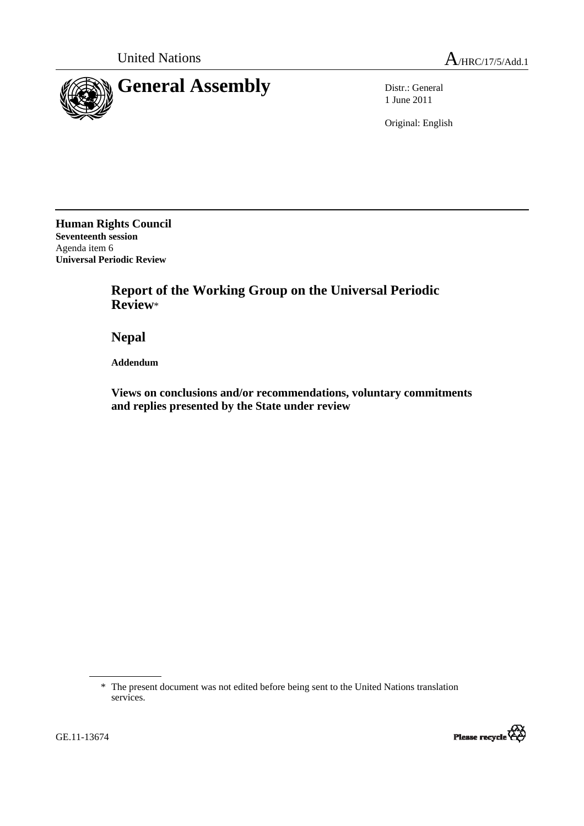

1 June 2011

Original: English

**Human Rights Council Seventeenth session**  Agenda item 6 **Universal Periodic Review** 

> **Report of the Working Group on the Universal Periodic Review**\*

 **Nepal** 

 **Addendum** 

 **Views on conclusions and/or recommendations, voluntary commitments and replies presented by the State under review** 

<sup>\*</sup> The present document was not edited before being sent to the United Nations translation services.



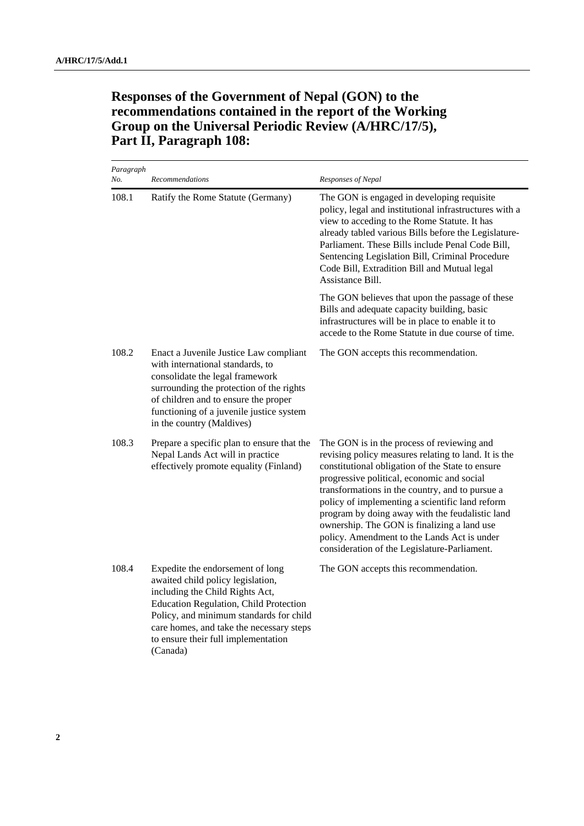## **Responses of the Government of Nepal (GON) to the recommendations contained in the report of the Working Group on the Universal Periodic Review (A/HRC/17/5), Part II, Paragraph 108:**

| Paragraph<br>No. | Recommendations                                                                                                                                                                                                                                                                              | Responses of Nepal                                                                                                                                                                                                                                                                                                                                                                                                                                                                                          |
|------------------|----------------------------------------------------------------------------------------------------------------------------------------------------------------------------------------------------------------------------------------------------------------------------------------------|-------------------------------------------------------------------------------------------------------------------------------------------------------------------------------------------------------------------------------------------------------------------------------------------------------------------------------------------------------------------------------------------------------------------------------------------------------------------------------------------------------------|
| 108.1            | Ratify the Rome Statute (Germany)                                                                                                                                                                                                                                                            | The GON is engaged in developing requisite<br>policy, legal and institutional infrastructures with a<br>view to acceding to the Rome Statute. It has<br>already tabled various Bills before the Legislature-<br>Parliament. These Bills include Penal Code Bill,<br>Sentencing Legislation Bill, Criminal Procedure<br>Code Bill, Extradition Bill and Mutual legal<br>Assistance Bill.                                                                                                                     |
|                  |                                                                                                                                                                                                                                                                                              | The GON believes that upon the passage of these<br>Bills and adequate capacity building, basic<br>infrastructures will be in place to enable it to<br>accede to the Rome Statute in due course of time.                                                                                                                                                                                                                                                                                                     |
| 108.2            | Enact a Juvenile Justice Law compliant<br>with international standards, to<br>consolidate the legal framework<br>surrounding the protection of the rights<br>of children and to ensure the proper<br>functioning of a juvenile justice system<br>in the country (Maldives)                   | The GON accepts this recommendation.                                                                                                                                                                                                                                                                                                                                                                                                                                                                        |
| 108.3            | Prepare a specific plan to ensure that the<br>Nepal Lands Act will in practice<br>effectively promote equality (Finland)                                                                                                                                                                     | The GON is in the process of reviewing and<br>revising policy measures relating to land. It is the<br>constitutional obligation of the State to ensure<br>progressive political, economic and social<br>transformations in the country, and to pursue a<br>policy of implementing a scientific land reform<br>program by doing away with the feudalistic land<br>ownership. The GON is finalizing a land use<br>policy. Amendment to the Lands Act is under<br>consideration of the Legislature-Parliament. |
| 108.4            | Expedite the endorsement of long<br>awaited child policy legislation,<br>including the Child Rights Act,<br>Education Regulation, Child Protection<br>Policy, and minimum standards for child<br>care homes, and take the necessary steps<br>to ensure their full implementation<br>(Canada) | The GON accepts this recommendation.                                                                                                                                                                                                                                                                                                                                                                                                                                                                        |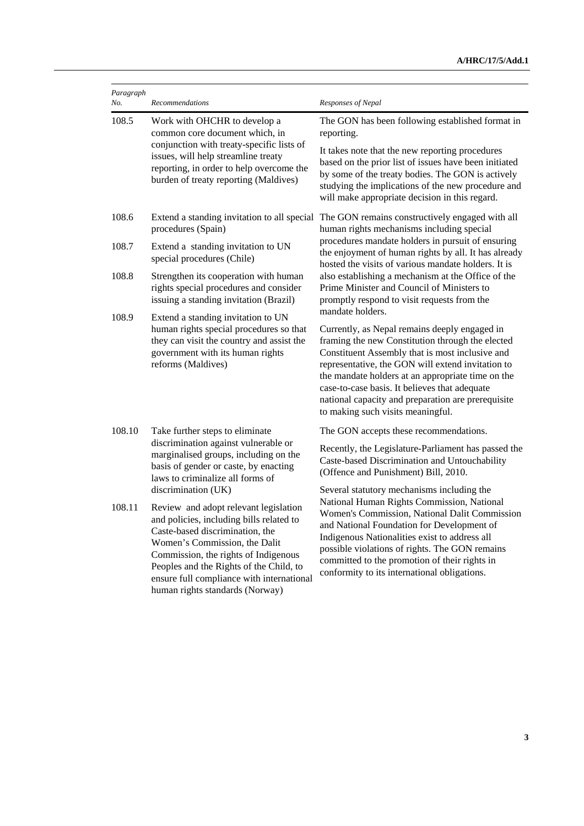| Paragraph<br>No. | Recommendations                                                                                                                                                                                                                                                                                                          | Responses of Nepal                                                                                                                                                                                                                                                                                                                                                                                                             |
|------------------|--------------------------------------------------------------------------------------------------------------------------------------------------------------------------------------------------------------------------------------------------------------------------------------------------------------------------|--------------------------------------------------------------------------------------------------------------------------------------------------------------------------------------------------------------------------------------------------------------------------------------------------------------------------------------------------------------------------------------------------------------------------------|
| 108.5            | Work with OHCHR to develop a<br>common core document which, in<br>conjunction with treaty-specific lists of<br>issues, will help streamline treaty<br>reporting, in order to help overcome the<br>burden of treaty reporting (Maldives)                                                                                  | The GON has been following established format in<br>reporting.<br>It takes note that the new reporting procedures<br>based on the prior list of issues have been initiated<br>by some of the treaty bodies. The GON is actively<br>studying the implications of the new procedure and<br>will make appropriate decision in this regard.                                                                                        |
| 108.6<br>108.7   | procedures (Spain)<br>Extend a standing invitation to UN                                                                                                                                                                                                                                                                 | Extend a standing invitation to all special The GON remains constructively engaged with all<br>human rights mechanisms including special<br>procedures mandate holders in pursuit of ensuring                                                                                                                                                                                                                                  |
| 108.8            | special procedures (Chile)<br>Strengthen its cooperation with human<br>rights special procedures and consider<br>issuing a standing invitation (Brazil)                                                                                                                                                                  | the enjoyment of human rights by all. It has already<br>hosted the visits of various mandate holders. It is<br>also establishing a mechanism at the Office of the<br>Prime Minister and Council of Ministers to<br>promptly respond to visit requests from the                                                                                                                                                                 |
| 108.9            | Extend a standing invitation to UN<br>human rights special procedures so that<br>they can visit the country and assist the<br>government with its human rights<br>reforms (Maldives)                                                                                                                                     | mandate holders.<br>Currently, as Nepal remains deeply engaged in<br>framing the new Constitution through the elected<br>Constituent Assembly that is most inclusive and<br>representative, the GON will extend invitation to<br>the mandate holders at an appropriate time on the<br>case-to-case basis. It believes that adequate<br>national capacity and preparation are prerequisite<br>to making such visits meaningful. |
| 108.10           | Take further steps to eliminate<br>discrimination against vulnerable or<br>marginalised groups, including on the<br>basis of gender or caste, by enacting<br>laws to criminalize all forms of<br>discrimination (UK)                                                                                                     | The GON accepts these recommendations.<br>Recently, the Legislature-Parliament has passed the<br>Caste-based Discrimination and Untouchability<br>(Offence and Punishment) Bill, 2010.<br>Several statutory mechanisms including the                                                                                                                                                                                           |
| 108.11           | Review and adopt relevant legislation<br>and policies, including bills related to<br>Caste-based discrimination, the<br>Women's Commission, the Dalit<br>Commission, the rights of Indigenous<br>Peoples and the Rights of the Child, to<br>ensure full compliance with international<br>human rights standards (Norway) | National Human Rights Commission, National<br>Women's Commission, National Dalit Commission<br>and National Foundation for Development of<br>Indigenous Nationalities exist to address all<br>possible violations of rights. The GON remains<br>committed to the promotion of their rights in<br>conformity to its international obligations.                                                                                  |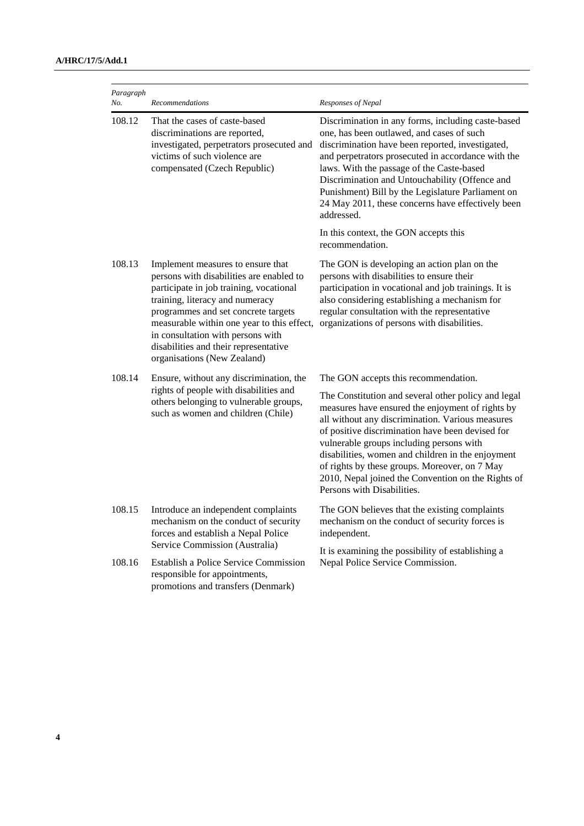| Paragraph<br>No. | Recommendations                                                                                                                                                                                                                                                                                                                                               | Responses of Nepal                                                                                                                                                                                                                                                                                                                                                                                                               |
|------------------|---------------------------------------------------------------------------------------------------------------------------------------------------------------------------------------------------------------------------------------------------------------------------------------------------------------------------------------------------------------|----------------------------------------------------------------------------------------------------------------------------------------------------------------------------------------------------------------------------------------------------------------------------------------------------------------------------------------------------------------------------------------------------------------------------------|
| 108.12           | That the cases of caste-based<br>discriminations are reported,<br>investigated, perpetrators prosecuted and<br>victims of such violence are<br>compensated (Czech Republic)                                                                                                                                                                                   | Discrimination in any forms, including caste-based<br>one, has been outlawed, and cases of such<br>discrimination have been reported, investigated,<br>and perpetrators prosecuted in accordance with the<br>laws. With the passage of the Caste-based<br>Discrimination and Untouchability (Offence and<br>Punishment) Bill by the Legislature Parliament on<br>24 May 2011, these concerns have effectively been<br>addressed. |
|                  |                                                                                                                                                                                                                                                                                                                                                               | In this context, the GON accepts this<br>recommendation.                                                                                                                                                                                                                                                                                                                                                                         |
| 108.13           | Implement measures to ensure that<br>persons with disabilities are enabled to<br>participate in job training, vocational<br>training, literacy and numeracy<br>programmes and set concrete targets<br>measurable within one year to this effect,<br>in consultation with persons with<br>disabilities and their representative<br>organisations (New Zealand) | The GON is developing an action plan on the<br>persons with disabilities to ensure their<br>participation in vocational and job trainings. It is<br>also considering establishing a mechanism for<br>regular consultation with the representative<br>organizations of persons with disabilities.                                                                                                                                 |
| 108.14           | Ensure, without any discrimination, the<br>rights of people with disabilities and<br>others belonging to vulnerable groups,<br>such as women and children (Chile)                                                                                                                                                                                             | The GON accepts this recommendation.<br>The Constitution and several other policy and legal<br>measures have ensured the enjoyment of rights by<br>all without any discrimination. Various measures<br>of positive discrimination have been devised for<br>vulnerable groups including persons with<br>disabilities, women and children in the enjoyment<br>of rights by these groups. Moreover, on 7 May                        |
|                  |                                                                                                                                                                                                                                                                                                                                                               | 2010, Nepal joined the Convention on the Rights of<br>Persons with Disabilities.                                                                                                                                                                                                                                                                                                                                                 |
| 108.15           | Introduce an independent complaints<br>mechanism on the conduct of security<br>forces and establish a Nepal Police<br>Service Commission (Australia)                                                                                                                                                                                                          | The GON believes that the existing complaints<br>mechanism on the conduct of security forces is<br>independent.                                                                                                                                                                                                                                                                                                                  |
| 108.16           | <b>Establish a Police Service Commission</b><br>responsible for appointments,<br>promotions and transfers (Denmark)                                                                                                                                                                                                                                           | It is examining the possibility of establishing a<br>Nepal Police Service Commission.                                                                                                                                                                                                                                                                                                                                            |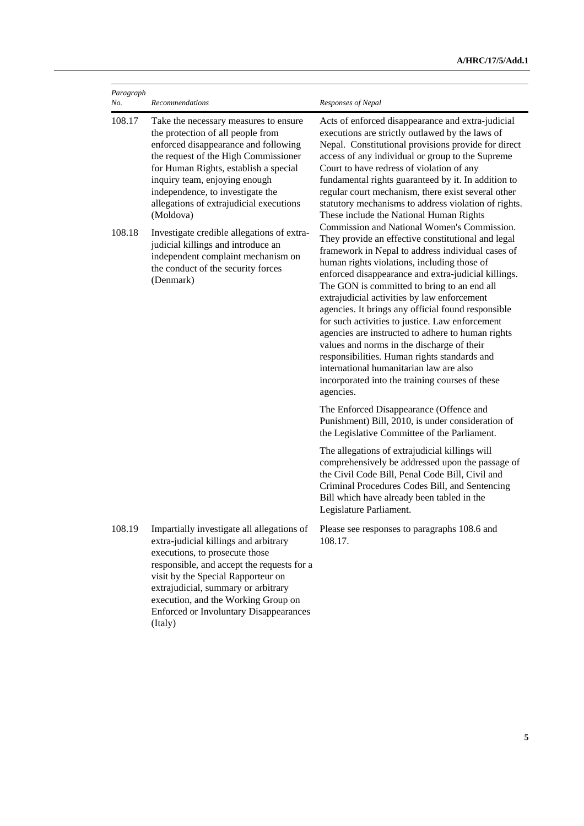| Paragraph<br>No.                                                                                | Recommendations                                                                                                                                                                                                                                                                                                                                     | Responses of Nepal                                                                                                                                                                                                                                                                                                                                                                                                                                                                                                                                                                                                                                                                                                                                                                                                                                                                                                                                                                                                                                                                                                                                                                                                |
|-------------------------------------------------------------------------------------------------|-----------------------------------------------------------------------------------------------------------------------------------------------------------------------------------------------------------------------------------------------------------------------------------------------------------------------------------------------------|-------------------------------------------------------------------------------------------------------------------------------------------------------------------------------------------------------------------------------------------------------------------------------------------------------------------------------------------------------------------------------------------------------------------------------------------------------------------------------------------------------------------------------------------------------------------------------------------------------------------------------------------------------------------------------------------------------------------------------------------------------------------------------------------------------------------------------------------------------------------------------------------------------------------------------------------------------------------------------------------------------------------------------------------------------------------------------------------------------------------------------------------------------------------------------------------------------------------|
| 108.17                                                                                          | Take the necessary measures to ensure<br>the protection of all people from<br>enforced disappearance and following<br>the request of the High Commissioner<br>for Human Rights, establish a special<br>inquiry team, enjoying enough<br>independence, to investigate the<br>allegations of extrajudicial executions<br>(Moldova)                    | Acts of enforced disappearance and extra-judicial<br>executions are strictly outlawed by the laws of<br>Nepal. Constitutional provisions provide for direct<br>access of any individual or group to the Supreme<br>Court to have redress of violation of any<br>fundamental rights guaranteed by it. In addition to<br>regular court mechanism, there exist several other<br>statutory mechanisms to address violation of rights.<br>These include the National Human Rights<br>Commission and National Women's Commission.<br>They provide an effective constitutional and legal<br>framework in Nepal to address individual cases of<br>human rights violations, including those of<br>enforced disappearance and extra-judicial killings.<br>The GON is committed to bring to an end all<br>extrajudicial activities by law enforcement<br>agencies. It brings any official found responsible<br>for such activities to justice. Law enforcement<br>agencies are instructed to adhere to human rights<br>values and norms in the discharge of their<br>responsibilities. Human rights standards and<br>international humanitarian law are also<br>incorporated into the training courses of these<br>agencies. |
| 108.18<br>judicial killings and introduce an<br>the conduct of the security forces<br>(Denmark) | Investigate credible allegations of extra-<br>independent complaint mechanism on                                                                                                                                                                                                                                                                    |                                                                                                                                                                                                                                                                                                                                                                                                                                                                                                                                                                                                                                                                                                                                                                                                                                                                                                                                                                                                                                                                                                                                                                                                                   |
|                                                                                                 |                                                                                                                                                                                                                                                                                                                                                     | The Enforced Disappearance (Offence and<br>Punishment) Bill, 2010, is under consideration of<br>the Legislative Committee of the Parliament.                                                                                                                                                                                                                                                                                                                                                                                                                                                                                                                                                                                                                                                                                                                                                                                                                                                                                                                                                                                                                                                                      |
|                                                                                                 |                                                                                                                                                                                                                                                                                                                                                     | The allegations of extrajudicial killings will<br>comprehensively be addressed upon the passage of<br>the Civil Code Bill, Penal Code Bill, Civil and<br>Criminal Procedures Codes Bill, and Sentencing<br>Bill which have already been tabled in the<br>Legislature Parliament.                                                                                                                                                                                                                                                                                                                                                                                                                                                                                                                                                                                                                                                                                                                                                                                                                                                                                                                                  |
| 108.19                                                                                          | Impartially investigate all allegations of<br>extra-judicial killings and arbitrary<br>executions, to prosecute those<br>responsible, and accept the requests for a<br>visit by the Special Rapporteur on<br>extrajudicial, summary or arbitrary<br>execution, and the Working Group on<br><b>Enforced or Involuntary Disappearances</b><br>(Italy) | Please see responses to paragraphs 108.6 and<br>108.17.                                                                                                                                                                                                                                                                                                                                                                                                                                                                                                                                                                                                                                                                                                                                                                                                                                                                                                                                                                                                                                                                                                                                                           |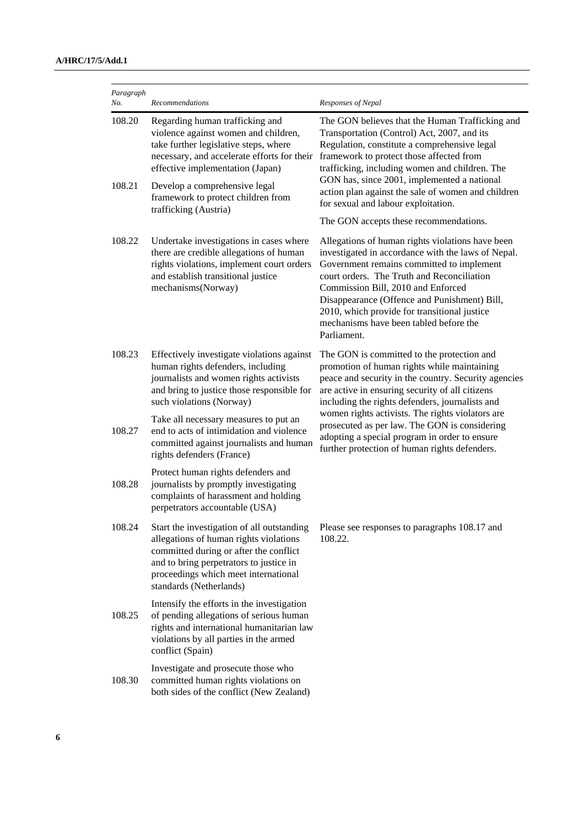| Paragraph<br>No. | Recommendations                                                                                                                                                                                                                              | Responses of Nepal                                                                                                                                                                                                                                                                                                                                                                               |
|------------------|----------------------------------------------------------------------------------------------------------------------------------------------------------------------------------------------------------------------------------------------|--------------------------------------------------------------------------------------------------------------------------------------------------------------------------------------------------------------------------------------------------------------------------------------------------------------------------------------------------------------------------------------------------|
| 108.20           | Regarding human trafficking and<br>violence against women and children,<br>take further legislative steps, where<br>necessary, and accelerate efforts for their<br>effective implementation (Japan)                                          | The GON believes that the Human Trafficking and<br>Transportation (Control) Act, 2007, and its<br>Regulation, constitute a comprehensive legal<br>framework to protect those affected from<br>trafficking, including women and children. The<br>GON has, since 2001, implemented a national<br>action plan against the sale of women and children<br>for sexual and labour exploitation.         |
| 108.21           | Develop a comprehensive legal<br>framework to protect children from<br>trafficking (Austria)                                                                                                                                                 |                                                                                                                                                                                                                                                                                                                                                                                                  |
|                  |                                                                                                                                                                                                                                              | The GON accepts these recommendations.                                                                                                                                                                                                                                                                                                                                                           |
| 108.22           | Undertake investigations in cases where<br>there are credible allegations of human<br>rights violations, implement court orders<br>and establish transitional justice<br>mechanisms(Norway)                                                  | Allegations of human rights violations have been<br>investigated in accordance with the laws of Nepal.<br>Government remains committed to implement<br>court orders. The Truth and Reconciliation<br>Commission Bill, 2010 and Enforced<br>Disappearance (Offence and Punishment) Bill,<br>2010, which provide for transitional justice<br>mechanisms have been tabled before the<br>Parliament. |
| 108.23           | Effectively investigate violations against<br>human rights defenders, including<br>journalists and women rights activists<br>and bring to justice those responsible for<br>such violations (Norway)                                          | The GON is committed to the protection and<br>promotion of human rights while maintaining<br>peace and security in the country. Security agencies<br>are active in ensuring security of all citizens<br>including the rights defenders, journalists and                                                                                                                                          |
| 108.27           | Take all necessary measures to put an<br>end to acts of intimidation and violence<br>committed against journalists and human<br>rights defenders (France)                                                                                    | women rights activists. The rights violators are<br>prosecuted as per law. The GON is considering<br>adopting a special program in order to ensure<br>further protection of human rights defenders.                                                                                                                                                                                              |
| 108.28           | Protect human rights defenders and<br>journalists by promptly investigating<br>complaints of harassment and holding<br>perpetrators accountable (USA)                                                                                        |                                                                                                                                                                                                                                                                                                                                                                                                  |
| 108.24           | Start the investigation of all outstanding<br>allegations of human rights violations<br>committed during or after the conflict<br>and to bring perpetrators to justice in<br>proceedings which meet international<br>standards (Netherlands) | Please see responses to paragraphs 108.17 and<br>108.22.                                                                                                                                                                                                                                                                                                                                         |
| 108.25           | Intensify the efforts in the investigation<br>of pending allegations of serious human<br>rights and international humanitarian law<br>violations by all parties in the armed<br>conflict (Spain)                                             |                                                                                                                                                                                                                                                                                                                                                                                                  |
| 108.30           | Investigate and prosecute those who<br>committed human rights violations on<br>both sides of the conflict (New Zealand)                                                                                                                      |                                                                                                                                                                                                                                                                                                                                                                                                  |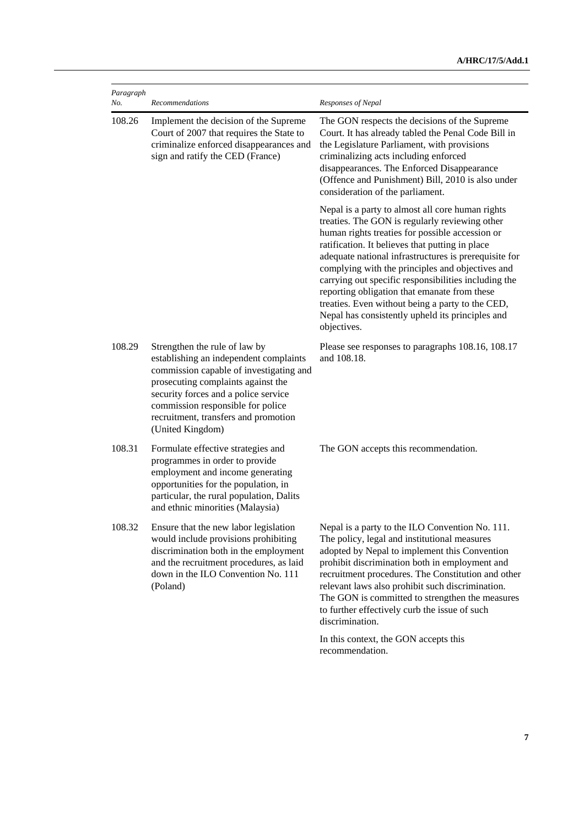| Paragraph<br>No. | Recommendations                                                                                                                                                                                                                                                                                   | Responses of Nepal                                                                                                                                                                                                                                                                                                                                                                                                                                                                                                                                   |
|------------------|---------------------------------------------------------------------------------------------------------------------------------------------------------------------------------------------------------------------------------------------------------------------------------------------------|------------------------------------------------------------------------------------------------------------------------------------------------------------------------------------------------------------------------------------------------------------------------------------------------------------------------------------------------------------------------------------------------------------------------------------------------------------------------------------------------------------------------------------------------------|
| 108.26           | Implement the decision of the Supreme<br>Court of 2007 that requires the State to<br>criminalize enforced disappearances and<br>sign and ratify the CED (France)                                                                                                                                  | The GON respects the decisions of the Supreme<br>Court. It has already tabled the Penal Code Bill in<br>the Legislature Parliament, with provisions<br>criminalizing acts including enforced<br>disappearances. The Enforced Disappearance<br>(Offence and Punishment) Bill, 2010 is also under<br>consideration of the parliament.                                                                                                                                                                                                                  |
|                  |                                                                                                                                                                                                                                                                                                   | Nepal is a party to almost all core human rights<br>treaties. The GON is regularly reviewing other<br>human rights treaties for possible accession or<br>ratification. It believes that putting in place<br>adequate national infrastructures is prerequisite for<br>complying with the principles and objectives and<br>carrying out specific responsibilities including the<br>reporting obligation that emanate from these<br>treaties. Even without being a party to the CED,<br>Nepal has consistently upheld its principles and<br>objectives. |
| 108.29           | Strengthen the rule of law by<br>establishing an independent complaints<br>commission capable of investigating and<br>prosecuting complaints against the<br>security forces and a police service<br>commission responsible for police<br>recruitment, transfers and promotion<br>(United Kingdom) | Please see responses to paragraphs 108.16, 108.17<br>and 108.18.                                                                                                                                                                                                                                                                                                                                                                                                                                                                                     |
| 108.31           | Formulate effective strategies and<br>programmes in order to provide<br>employment and income generating<br>opportunities for the population, in<br>particular, the rural population, Dalits<br>and ethnic minorities (Malaysia)                                                                  | The GON accepts this recommendation.                                                                                                                                                                                                                                                                                                                                                                                                                                                                                                                 |
| 108.32           | Ensure that the new labor legislation<br>would include provisions prohibiting<br>discrimination both in the employment<br>and the recruitment procedures, as laid<br>down in the ILO Convention No. 111<br>(Poland)                                                                               | Nepal is a party to the ILO Convention No. 111.<br>The policy, legal and institutional measures<br>adopted by Nepal to implement this Convention<br>prohibit discrimination both in employment and<br>recruitment procedures. The Constitution and other<br>relevant laws also prohibit such discrimination.<br>The GON is committed to strengthen the measures<br>to further effectively curb the issue of such<br>discrimination.                                                                                                                  |
|                  |                                                                                                                                                                                                                                                                                                   | In this context, the GON accepts this<br>recommendation.                                                                                                                                                                                                                                                                                                                                                                                                                                                                                             |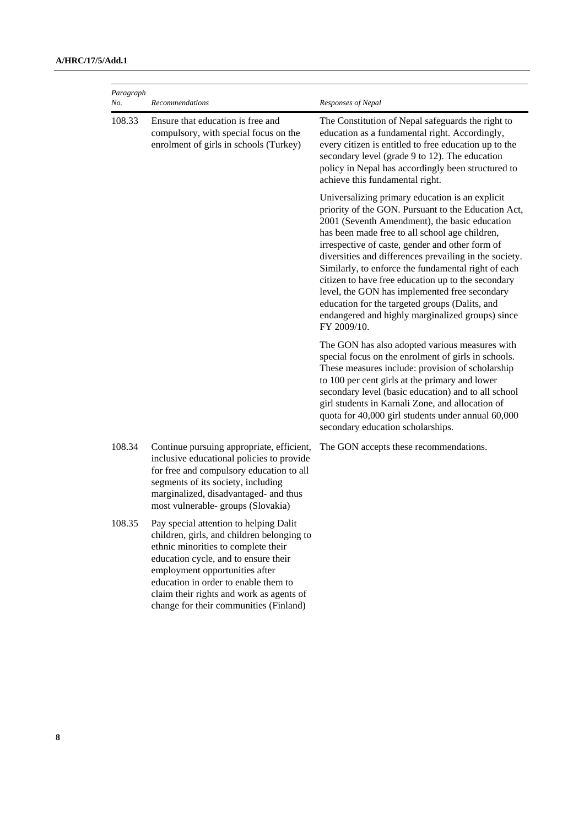| Paragraph<br>No. | Recommendations                                                                                                                                                                                                                                                                                                                     | Responses of Nepal                                                                                                                                                                                                                                                                                                                                                                                                                                                                                                                                                                                        |
|------------------|-------------------------------------------------------------------------------------------------------------------------------------------------------------------------------------------------------------------------------------------------------------------------------------------------------------------------------------|-----------------------------------------------------------------------------------------------------------------------------------------------------------------------------------------------------------------------------------------------------------------------------------------------------------------------------------------------------------------------------------------------------------------------------------------------------------------------------------------------------------------------------------------------------------------------------------------------------------|
| 108.33           | Ensure that education is free and<br>compulsory, with special focus on the<br>enrolment of girls in schools (Turkey)                                                                                                                                                                                                                | The Constitution of Nepal safeguards the right to<br>education as a fundamental right. Accordingly,<br>every citizen is entitled to free education up to the<br>secondary level (grade 9 to 12). The education<br>policy in Nepal has accordingly been structured to<br>achieve this fundamental right.                                                                                                                                                                                                                                                                                                   |
|                  |                                                                                                                                                                                                                                                                                                                                     | Universalizing primary education is an explicit<br>priority of the GON. Pursuant to the Education Act,<br>2001 (Seventh Amendment), the basic education<br>has been made free to all school age children,<br>irrespective of caste, gender and other form of<br>diversities and differences prevailing in the society.<br>Similarly, to enforce the fundamental right of each<br>citizen to have free education up to the secondary<br>level, the GON has implemented free secondary<br>education for the targeted groups (Dalits, and<br>endangered and highly marginalized groups) since<br>FY 2009/10. |
|                  |                                                                                                                                                                                                                                                                                                                                     | The GON has also adopted various measures with<br>special focus on the enrolment of girls in schools.<br>These measures include: provision of scholarship<br>to 100 per cent girls at the primary and lower<br>secondary level (basic education) and to all school<br>girl students in Karnali Zone, and allocation of<br>quota for 40,000 girl students under annual 60,000<br>secondary education scholarships.                                                                                                                                                                                         |
| 108.34           | Continue pursuing appropriate, efficient,<br>inclusive educational policies to provide<br>for free and compulsory education to all<br>segments of its society, including<br>marginalized, disadvantaged- and thus<br>most vulnerable- groups (Slovakia)                                                                             | The GON accepts these recommendations.                                                                                                                                                                                                                                                                                                                                                                                                                                                                                                                                                                    |
| 108.35           | Pay special attention to helping Dalit<br>children, girls, and children belonging to<br>ethnic minorities to complete their<br>education cycle, and to ensure their<br>employment opportunities after<br>education in order to enable them to<br>claim their rights and work as agents of<br>change for their communities (Finland) |                                                                                                                                                                                                                                                                                                                                                                                                                                                                                                                                                                                                           |